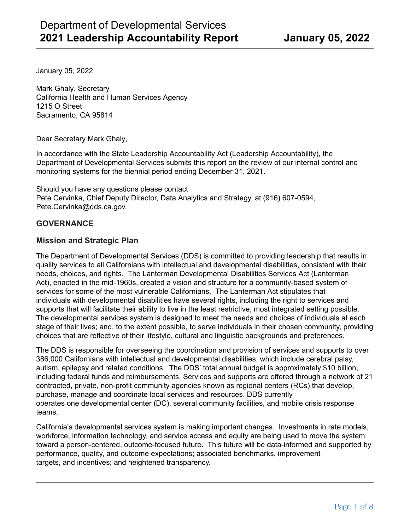January 05, 2022

Mark Ghaly, Secretary California Health and Human Services Agency 1215 O Street Sacramento, CA 95814

Dear Secretary Mark Ghaly,

In accordance with the State Leadership Accountability Act (Leadership Accountability), the Department of Developmental Services submits this report on the review of our internal control and monitoring systems for the biennial period ending December 31, 2021.

Should you have any questions please contact Pete Cervinka, Chief Deputy Director, Data Analytics and Strategy, at (916) 607-0594, Pete.Cervinka@dds.ca.gov.

## **GOVERNANCE**

## **Mission and Strategic Plan**

The Department of Developmental Services (DDS) is committed to providing leadership that results in quality services to all Californians with intellectual and developmental disabilities, consistent with their needs, choices, and rights. The Lanterman Developmental Disabilities Services Act (Lanterman Act), enacted in the mid-1960s, created a vision and structure for a community-based system of services for some of the most vulnerable Californians. The Lanterman Act stipulates that individuals with developmental disabilities have several rights, including the right to services and supports that will facilitate their ability to live in the least restrictive, most integrated setting possible. The developmental services system is designed to meet the needs and choices of individuals at each stage of their lives; and, to the extent possible, to serve individuals in their chosen community, providing choices that are reflective of their lifestyle, cultural and linguistic backgrounds and preferences.

The DDS is responsible for overseeing the coordination and provision of services and supports to over 386,000 Californians with intellectual and developmental disabilities, which include cerebral palsy, autism, epilepsy and related conditions. The DDS' total annual budget is approximately \$10 billion, including federal funds and reimbursements. Services and supports are offered through a network of 21 contracted, private, non-profit community agencies known as regional centers (RCs) that develop, purchase, manage and coordinate local services and resources. DDS currently operates one developmental center (DC), several community facilities, and mobile crisis response teams.

California's developmental services system is making important changes. Investments in rate models, workforce, information technology, and service access and equity are being used to move the system toward a person-centered, outcome-focused future. This future will be data-informed and supported by performance, quality, and outcome expectations; associated benchmarks, improvement targets, and incentives; and heightened transparency.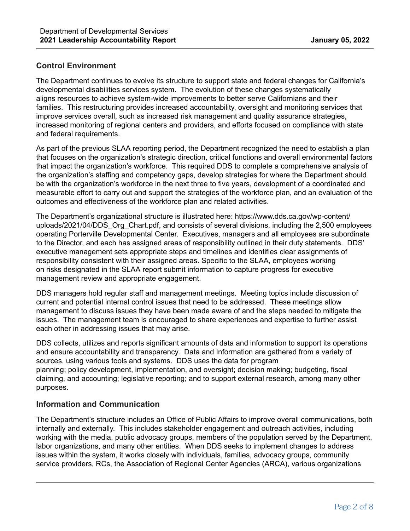# **Control Environment**

The Department continues to evolve its structure to support state and federal changes for California's developmental disabilities services system. The evolution of these changes systematically aligns resources to achieve system-wide improvements to better serve Californians and their families. This restructuring provides increased accountability, oversight and monitoring services that improve services overall, such as increased risk management and quality assurance strategies, increased monitoring of regional centers and providers, and efforts focused on compliance with state and federal requirements.

As part of the previous SLAA reporting period, the Department recognized the need to establish a plan that focuses on the organization's strategic direction, critical functions and overall environmental factors that impact the organization's workforce. This required DDS to complete a comprehensive analysis of the organization's staffing and competency gaps, develop strategies for where the Department should be with the organization's workforce in the next three to five years, development of a coordinated and measurable effort to carry out and support the strategies of the workforce plan, and an evaluation of the outcomes and effectiveness of the workforce plan and related activities.

The Department's organizational structure is illustrated here: https://www.dds.ca.gov/wp-content/ uploads/2021/04/DDS\_Org\_Chart.pdf, and consists of several divisions, including the 2,500 employees operating Porterville Developmental Center. Executives, managers and all employees are subordinate to the Director, and each has assigned areas of responsibility outlined in their duty statements. DDS' executive management sets appropriate steps and timelines and identifies clear assignments of responsibility consistent with their assigned areas. Specific to the SLAA, employees working on risks designated in the SLAA report submit information to capture progress for executive management review and appropriate engagement.

DDS managers hold regular staff and management meetings. Meeting topics include discussion of current and potential internal control issues that need to be addressed. These meetings allow management to discuss issues they have been made aware of and the steps needed to mitigate the issues. The management team is encouraged to share experiences and expertise to further assist each other in addressing issues that may arise.

DDS collects, utilizes and reports significant amounts of data and information to support its operations and ensure accountability and transparency. Data and Information are gathered from a variety of sources, using various tools and systems. DDS uses the data for program planning; policy development, implementation, and oversight; decision making; budgeting, fiscal claiming, and accounting; legislative reporting; and to support external research, among many other purposes.

# **Information and Communication**

The Department's structure includes an Office of Public Affairs to improve overall communications, both internally and externally. This includes stakeholder engagement and outreach activities, including working with the media, public advocacy groups, members of the population served by the Department, labor organizations, and many other entities. When DDS seeks to implement changes to address issues within the system, it works closely with individuals, families, advocacy groups, community service providers, RCs, the Association of Regional Center Agencies (ARCA), various organizations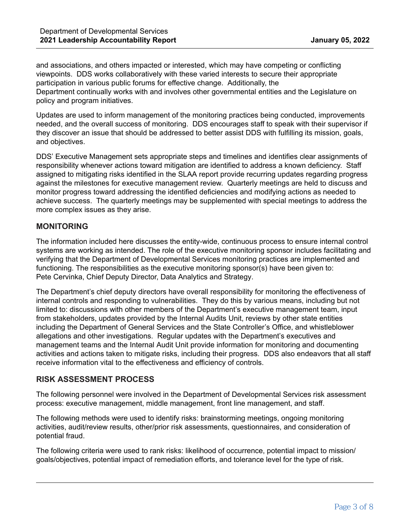and associations, and others impacted or interested, which may have competing or conflicting viewpoints. DDS works collaboratively with these varied interests to secure their appropriate participation in various public forums for effective change. Additionally, the Department continually works with and involves other governmental entities and the Legislature on policy and program initiatives.

Updates are used to inform management of the monitoring practices being conducted, improvements needed, and the overall success of monitoring. DDS encourages staff to speak with their supervisor if they discover an issue that should be addressed to better assist DDS with fulfilling its mission, goals, and objectives.

DDS' Executive Management sets appropriate steps and timelines and identifies clear assignments of responsibility whenever actions toward mitigation are identified to address a known deficiency. Staff assigned to mitigating risks identified in the SLAA report provide recurring updates regarding progress against the milestones for executive management review. Quarterly meetings are held to discuss and monitor progress toward addressing the identified deficiencies and modifying actions as needed to achieve success. The quarterly meetings may be supplemented with special meetings to address the more complex issues as they arise.

## **MONITORING**

The information included here discusses the entity-wide, continuous process to ensure internal control systems are working as intended. The role of the executive monitoring sponsor includes facilitating and verifying that the Department of Developmental Services monitoring practices are implemented and functioning. The responsibilities as the executive monitoring sponsor(s) have been given to: Pete Cervinka, Chief Deputy Director, Data Analytics and Strategy.

The Department's chief deputy directors have overall responsibility for monitoring the effectiveness of internal controls and responding to vulnerabilities. They do this by various means, including but not limited to: discussions with other members of the Department's executive management team, input from stakeholders, updates provided by the Internal Audits Unit, reviews by other state entities including the Department of General Services and the State Controller's Office, and whistleblower allegations and other investigations. Regular updates with the Department's executives and management teams and the Internal Audit Unit provide information for monitoring and documenting activities and actions taken to mitigate risks, including their progress. DDS also endeavors that all staff receive information vital to the effectiveness and efficiency of controls.

## **RISK ASSESSMENT PROCESS**

The following personnel were involved in the Department of Developmental Services risk assessment process: executive management, middle management, front line management, and staff.

The following methods were used to identify risks: brainstorming meetings, ongoing monitoring activities, audit/review results, other/prior risk assessments, questionnaires, and consideration of potential fraud.

The following criteria were used to rank risks: likelihood of occurrence, potential impact to mission/ goals/objectives, potential impact of remediation efforts, and tolerance level for the type of risk.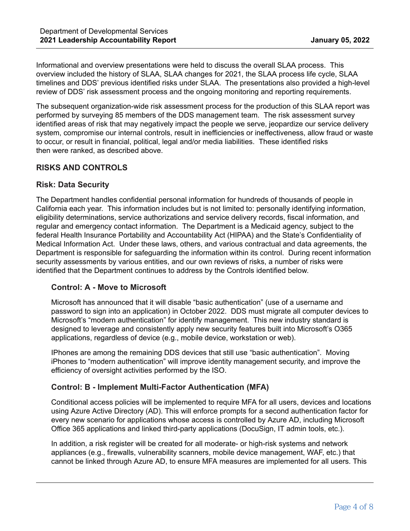Informational and overview presentations were held to discuss the overall SLAA process. This overview included the history of SLAA, SLAA changes for 2021, the SLAA process life cycle, SLAA timelines and DDS' previous identified risks under SLAA. The presentations also provided a high-level review of DDS' risk assessment process and the ongoing monitoring and reporting requirements.

The subsequent organization-wide risk assessment process for the production of this SLAA report was performed by surveying 85 members of the DDS management team. The risk assessment survey identified areas of risk that may negatively impact the people we serve, jeopardize our service delivery system, compromise our internal controls, result in inefficiencies or ineffectiveness, allow fraud or waste to occur, or result in financial, political, legal and/or media liabilities. These identified risks then were ranked, as described above.

## **RISKS AND CONTROLS**

## **Risk: Data Security**

The Department handles confidential personal information for hundreds of thousands of people in California each year. This information includes but is not limited to: personally identifying information, eligibility determinations, service authorizations and service delivery records, fiscal information, and regular and emergency contact information. The Department is a Medicaid agency, subject to the federal Health Insurance Portability and Accountability Act (HIPAA) and the State's Confidentiality of Medical Information Act. Under these laws, others, and various contractual and data agreements, the Department is responsible for safeguarding the information within its control. During recent information security assessments by various entities, and our own reviews of risks, a number of risks were identified that the Department continues to address by the Controls identified below.

## **Control: A - Move to Microsoft**

Microsoft has announced that it will disable "basic authentication" (use of a username and password to sign into an application) in October 2022. DDS must migrate all computer devices to Microsoft's "modern authentication" for identify management. This new industry standard is designed to leverage and consistently apply new security features built into Microsoft's O365 applications, regardless of device (e.g., mobile device, workstation or web).

IPhones are among the remaining DDS devices that still use "basic authentication". Moving iPhones to "modern authentication" will improve identity management security, and improve the efficiency of oversight activities performed by the ISO.

## **Control: B - Implement Multi-Factor Authentication (MFA)**

Conditional access policies will be implemented to require MFA for all users, devices and locations using Azure Active Directory (AD). This will enforce prompts for a second authentication factor for every new scenario for applications whose access is controlled by Azure AD, including Microsoft Office 365 applications and linked third-party applications (DocuSign, IT admin tools, etc.).

In addition, a risk register will be created for all moderate- or high-risk systems and network appliances (e.g., firewalls, vulnerability scanners, mobile device management, WAF, etc.) that cannot be linked through Azure AD, to ensure MFA measures are implemented for all users. This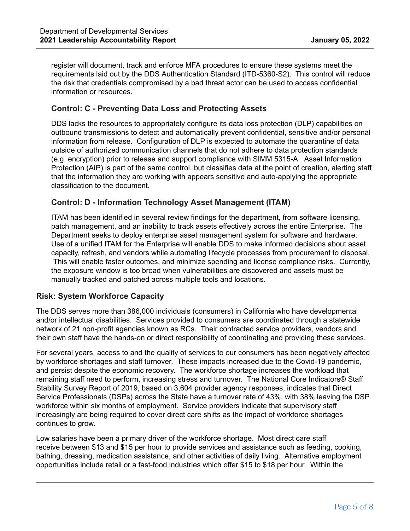register will document, track and enforce MFA procedures to ensure these systems meet the requirements laid out by the DDS Authentication Standard (ITD-5360-S2). This control will reduce the risk that credentials compromised by a bad threat actor can be used to access confidential information or resources.

## **Control: C - Preventing Data Loss and Protecting Assets**

DDS lacks the resources to appropriately configure its data loss protection (DLP) capabilities on outbound transmissions to detect and automatically prevent confidential, sensitive and/or personal information from release. Configuration of DLP is expected to automate the quarantine of data outside of authorized communication channels that do not adhere to data protection standards (e.g. encryption) prior to release and support compliance with SIMM 5315-A. Asset Information Protection (AIP) is part of the same control, but classifies data at the point of creation, alerting staff that the information they are working with appears sensitive and auto-applying the appropriate classification to the document.

## **Control: D - Information Technology Asset Management (ITAM)**

ITAM has been identified in several review findings for the department, from software licensing, patch management, and an inability to track assets effectively across the entire Enterprise. The Department seeks to deploy enterprise asset management system for software and hardware. Use of a unified ITAM for the Enterprise will enable DDS to make informed decisions about asset capacity, refresh, and vendors while automating lifecycle processes from procurement to disposal. This will enable faster outcomes, and minimize spending and license compliance risks. Currently, the exposure window is too broad when vulnerabilities are discovered and assets must be manually tracked and patched across multiple tools and locations.

# **Risk: System Workforce Capacity**

The DDS serves more than 386,000 individuals (consumers) in California who have developmental and/or intellectual disabilities. Services provided to consumers are coordinated through a statewide network of 21 non-profit agencies known as RCs. Their contracted service providers, vendors and their own staff have the hands-on or direct responsibility of coordinating and providing these services.

For several years, access to and the quality of services to our consumers has been negatively affected by workforce shortages and staff turnover. These impacts increased due to the Covid-19 pandemic, and persist despite the economic recovery. The workforce shortage increases the workload that remaining staff need to perform, increasing stress and turnover. The National Core Indicators® Staff Stability Survey Report of 2019, based on 3,604 provider agency responses, indicates that Direct Service Professionals (DSPs) across the State have a turnover rate of 43%, with 38% leaving the DSP workforce within six months of employment. Service providers indicate that supervisory staff increasingly are being required to cover direct care shifts as the impact of workforce shortages continues to grow.

Low salaries have been a primary driver of the workforce shortage. Most direct care staff receive between \$13 and \$15 per hour to provide services and assistance such as feeding, cooking, bathing, dressing, medication assistance, and other activities of daily living. Alternative employment opportunities include retail or a fast-food industries which offer \$15 to \$18 per hour. Within the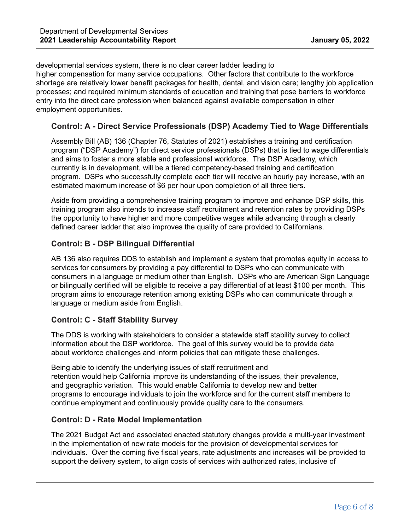developmental services system, there is no clear career ladder leading to higher compensation for many service occupations. Other factors that contribute to the workforce shortage are relatively lower benefit packages for health, dental, and vision care; lengthy job application processes; and required minimum standards of education and training that pose barriers to workforce entry into the direct care profession when balanced against available compensation in other employment opportunities.

## **Control: A - Direct Service Professionals (DSP) Academy Tied to Wage Differentials**

Assembly Bill (AB) 136 (Chapter 76, Statutes of 2021) establishes a training and certification program ("DSP Academy") for direct service professionals (DSPs) that is tied to wage differentials and aims to foster a more stable and professional workforce. The DSP Academy, which currently is in development, will be a tiered competency-based training and certification program. DSPs who successfully complete each tier will receive an hourly pay increase, with an estimated maximum increase of \$6 per hour upon completion of all three tiers.

Aside from providing a comprehensive training program to improve and enhance DSP skills, this training program also intends to increase staff recruitment and retention rates by providing DSPs the opportunity to have higher and more competitive wages while advancing through a clearly defined career ladder that also improves the quality of care provided to Californians.

## **Control: B - DSP Bilingual Differential**

AB 136 also requires DDS to establish and implement a system that promotes equity in access to services for consumers by providing a pay differential to DSPs who can communicate with consumers in a language or medium other than English. DSPs who are American Sign Language or bilingually certified will be eligible to receive a pay differential of at least \$100 per month. This program aims to encourage retention among existing DSPs who can communicate through a language or medium aside from English.

# **Control: C - Staff Stability Survey**

The DDS is working with stakeholders to consider a statewide staff stability survey to collect information about the DSP workforce. The goal of this survey would be to provide data about workforce challenges and inform policies that can mitigate these challenges.

Being able to identify the underlying issues of staff recruitment and retention would help California improve its understanding of the issues, their prevalence, and geographic variation. This would enable California to develop new and better programs to encourage individuals to join the workforce and for the current staff members to continue employment and continuously provide quality care to the consumers.

## **Control: D - Rate Model Implementation**

The 2021 Budget Act and associated enacted statutory changes provide a multi-year investment in the implementation of new rate models for the provision of developmental services for individuals. Over the coming five fiscal years, rate adjustments and increases will be provided to support the delivery system, to align costs of services with authorized rates, inclusive of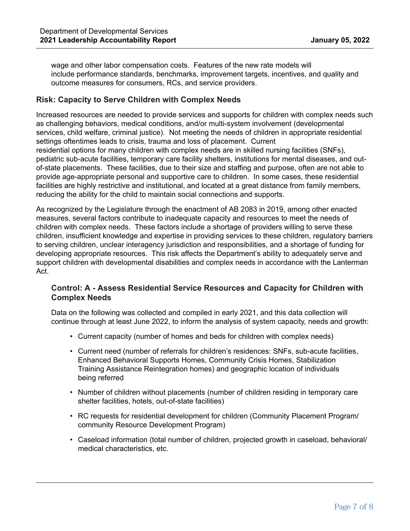wage and other labor compensation costs. Features of the new rate models will include performance standards, benchmarks, improvement targets, incentives, and quality and outcome measures for consumers, RCs, and service providers.

#### **Risk: Capacity to Serve Children with Complex Needs**

Increased resources are needed to provide services and supports for children with complex needs such as challenging behaviors, medical conditions, and/or multi-system involvement (developmental services, child welfare, criminal justice). Not meeting the needs of children in appropriate residential settings oftentimes leads to crisis, trauma and loss of placement. Current residential options for many children with complex needs are in skilled nursing facilities (SNFs), pediatric sub-acute facilities, temporary care facility shelters, institutions for mental diseases, and outof-state placements. These facilities, due to their size and staffing and purpose, often are not able to provide age-appropriate personal and supportive care to children. In some cases, these residential facilities are highly restrictive and institutional, and located at a great distance from family members, reducing the ability for the child to maintain social connections and supports.

As recognized by the Legislature through the enactment of AB 2083 in 2019, among other enacted measures, several factors contribute to inadequate capacity and resources to meet the needs of children with complex needs. These factors include a shortage of providers willing to serve these children, insufficient knowledge and expertise in providing services to these children, regulatory barriers to serving children, unclear interagency jurisdiction and responsibilities, and a shortage of funding for developing appropriate resources. This risk affects the Department's ability to adequately serve and support children with developmental disabilities and complex needs in accordance with the Lanterman Act.

## **Control: A - Assess Residential Service Resources and Capacity for Children with Complex Needs**

Data on the following was collected and compiled in early 2021, and this data collection will continue through at least June 2022, to inform the analysis of system capacity, needs and growth:

- Current capacity (number of homes and beds for children with complex needs)
- Current need (number of referrals for children's residences: SNFs, sub-acute facilities, Enhanced Behavioral Supports Homes, Community Crisis Homes, Stabilization Training Assistance Reintegration homes) and geographic location of individuals being referred
- Number of children without placements (number of children residing in temporary care shelter facilities, hotels, out-of-state facilities)
- RC requests for residential development for children (Community Placement Program/ community Resource Development Program)
- Caseload information (total number of children, projected growth in caseload, behavioral/ medical characteristics, etc.